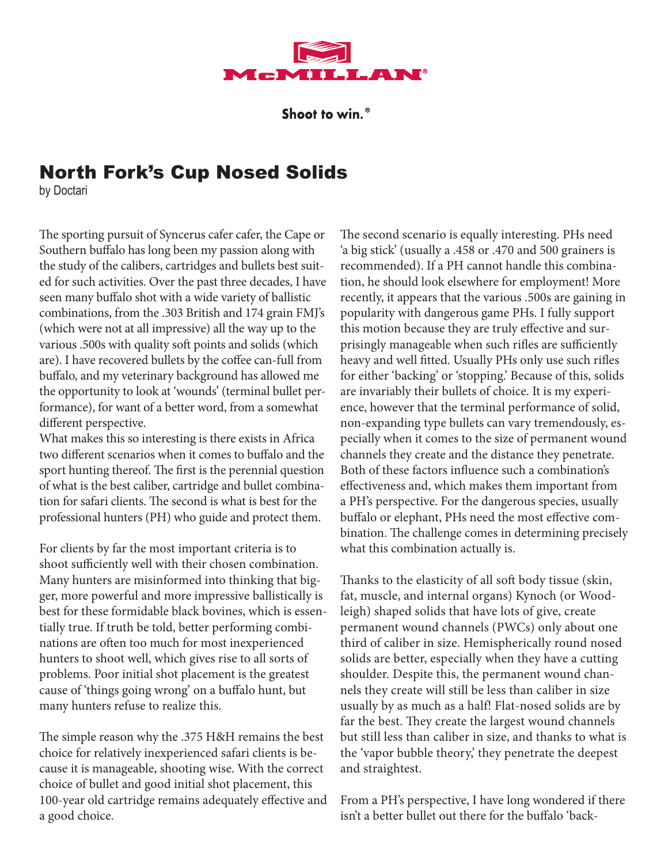

Shoot to win.<sup>®</sup>

# North Fork's Cup Nosed Solids

by Doctari

The sporting pursuit of Syncerus cafer cafer, the Cape or Southern buffalo has long been my passion along with the study of the calibers, cartridges and bullets best suited for such activities. Over the past three decades, I have seen many buffalo shot with a wide variety of ballistic combinations, from the .303 British and 174 grain FMJ's (which were not at all impressive) all the way up to the various .500s with quality soft points and solids (which are). I have recovered bullets by the coffee can-full from buffalo, and my veterinary background has allowed me the opportunity to look at 'wounds' (terminal bullet performance), for want of a better word, from a somewhat different perspective.

What makes this so interesting is there exists in Africa two different scenarios when it comes to buffalo and the sport hunting thereof. The first is the perennial question of what is the best caliber, cartridge and bullet combination for safari clients. The second is what is best for the professional hunters (PH) who guide and protect them.

For clients by far the most important criteria is to shoot sufficiently well with their chosen combination. Many hunters are misinformed into thinking that bigger, more powerful and more impressive ballistically is best for these formidable black bovines, which is essentially true. If truth be told, better performing combinations are often too much for most inexperienced hunters to shoot well, which gives rise to all sorts of problems. Poor initial shot placement is the greatest cause of 'things going wrong' on a buffalo hunt, but many hunters refuse to realize this.

The simple reason why the .375 H&H remains the best choice for relatively inexperienced safari clients is because it is manageable, shooting wise. With the correct choice of bullet and good initial shot placement, this 100-year old cartridge remains adequately effective and a good choice.

The second scenario is equally interesting. PHs need 'a big stick' (usually a .458 or .470 and 500 grainers is recommended). If a PH cannot handle this combination, he should look elsewhere for employment! More recently, it appears that the various .500s are gaining in popularity with dangerous game PHs. I fully support this motion because they are truly effective and surprisingly manageable when such rifles are sufficiently heavy and well fitted. Usually PHs only use such rifles for either 'backing' or 'stopping.' Because of this, solids are invariably their bullets of choice. It is my experience, however that the terminal performance of solid, non-expanding type bullets can vary tremendously, especially when it comes to the size of permanent wound channels they create and the distance they penetrate. Both of these factors influence such a combination's effectiveness and, which makes them important from a PH's perspective. For the dangerous species, usually buffalo or elephant, PHs need the most effective combination. The challenge comes in determining precisely what this combination actually is.

Thanks to the elasticity of all soft body tissue (skin, fat, muscle, and internal organs) Kynoch (or Woodleigh) shaped solids that have lots of give, create permanent wound channels (PWCs) only about one third of caliber in size. Hemispherically round nosed solids are better, especially when they have a cutting shoulder. Despite this, the permanent wound channels they create will still be less than caliber in size usually by as much as a half! Flat-nosed solids are by far the best. They create the largest wound channels but still less than caliber in size, and thanks to what is the 'vapor bubble theory,' they penetrate the deepest and straightest.

From a PH's perspective, I have long wondered if there isn't a better bullet out there for the buffalo 'back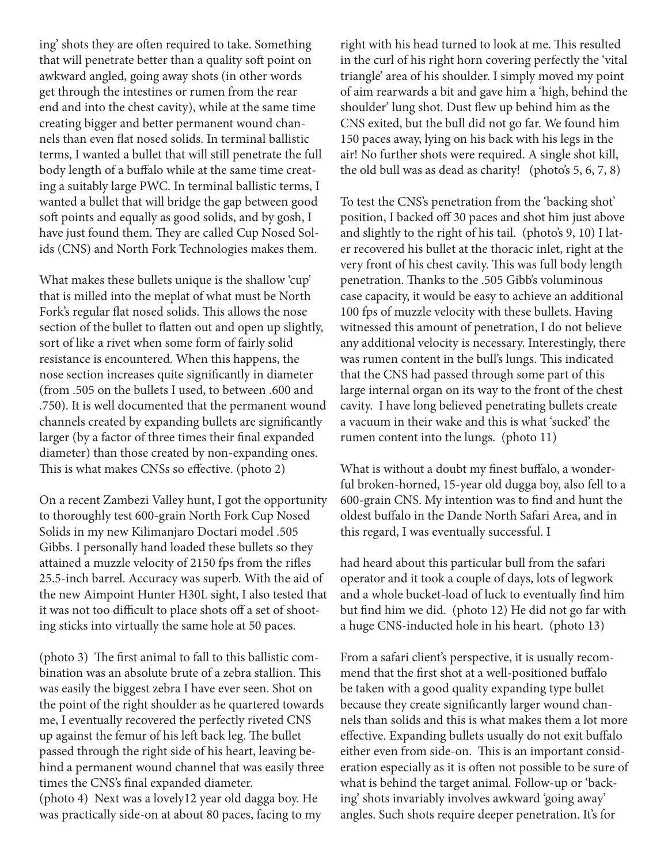ing' shots they are often required to take. Something that will penetrate better than a quality soft point on awkward angled, going away shots (in other words get through the intestines or rumen from the rear end and into the chest cavity), while at the same time creating bigger and better permanent wound channels than even flat nosed solids. In terminal ballistic terms, I wanted a bullet that will still penetrate the full body length of a buffalo while at the same time creating a suitably large PWC. In terminal ballistic terms, I wanted a bullet that will bridge the gap between good soft points and equally as good solids, and by gosh, I have just found them. They are called Cup Nosed Solids (CNS) and North Fork Technologies makes them.

What makes these bullets unique is the shallow 'cup' that is milled into the meplat of what must be North Fork's regular flat nosed solids. This allows the nose section of the bullet to flatten out and open up slightly, sort of like a rivet when some form of fairly solid resistance is encountered. When this happens, the nose section increases quite significantly in diameter (from .505 on the bullets I used, to between .600 and .750). It is well documented that the permanent wound channels created by expanding bullets are significantly larger (by a factor of three times their final expanded diameter) than those created by non-expanding ones. This is what makes CNSs so effective. (photo 2)

On a recent Zambezi Valley hunt, I got the opportunity to thoroughly test 600-grain North Fork Cup Nosed Solids in my new Kilimanjaro Doctari model .505 Gibbs. I personally hand loaded these bullets so they attained a muzzle velocity of 2150 fps from the rifles 25.5-inch barrel. Accuracy was superb. With the aid of the new Aimpoint Hunter H30L sight, I also tested that it was not too difficult to place shots off a set of shooting sticks into virtually the same hole at 50 paces.

(photo 3) The first animal to fall to this ballistic combination was an absolute brute of a zebra stallion. This was easily the biggest zebra I have ever seen. Shot on the point of the right shoulder as he quartered towards me, I eventually recovered the perfectly riveted CNS up against the femur of his left back leg. The bullet passed through the right side of his heart, leaving behind a permanent wound channel that was easily three times the CNS's final expanded diameter. (photo 4) Next was a lovely12 year old dagga boy. He was practically side-on at about 80 paces, facing to my

right with his head turned to look at me. This resulted in the curl of his right horn covering perfectly the 'vital triangle' area of his shoulder. I simply moved my point of aim rearwards a bit and gave him a 'high, behind the shoulder' lung shot. Dust flew up behind him as the CNS exited, but the bull did not go far. We found him 150 paces away, lying on his back with his legs in the air! No further shots were required. A single shot kill, the old bull was as dead as charity! (photo's 5, 6, 7, 8)

To test the CNS's penetration from the 'backing shot' position, I backed off 30 paces and shot him just above and slightly to the right of his tail. (photo's 9, 10) I later recovered his bullet at the thoracic inlet, right at the very front of his chest cavity. This was full body length penetration. Thanks to the .505 Gibb's voluminous case capacity, it would be easy to achieve an additional 100 fps of muzzle velocity with these bullets. Having witnessed this amount of penetration, I do not believe any additional velocity is necessary. Interestingly, there was rumen content in the bull's lungs. This indicated that the CNS had passed through some part of this large internal organ on its way to the front of the chest cavity. I have long believed penetrating bullets create a vacuum in their wake and this is what 'sucked' the rumen content into the lungs. (photo 11)

What is without a doubt my finest buffalo, a wonderful broken-horned, 15-year old dugga boy, also fell to a 600-grain CNS. My intention was to find and hunt the oldest buffalo in the Dande North Safari Area, and in this regard, I was eventually successful. I

had heard about this particular bull from the safari operator and it took a couple of days, lots of legwork and a whole bucket-load of luck to eventually find him but find him we did. (photo 12) He did not go far with a huge CNS-inducted hole in his heart. (photo 13)

From a safari client's perspective, it is usually recommend that the first shot at a well-positioned buffalo be taken with a good quality expanding type bullet because they create significantly larger wound channels than solids and this is what makes them a lot more effective. Expanding bullets usually do not exit buffalo either even from side-on. This is an important consideration especially as it is often not possible to be sure of what is behind the target animal. Follow-up or 'backing' shots invariably involves awkward 'going away' angles. Such shots require deeper penetration. It's for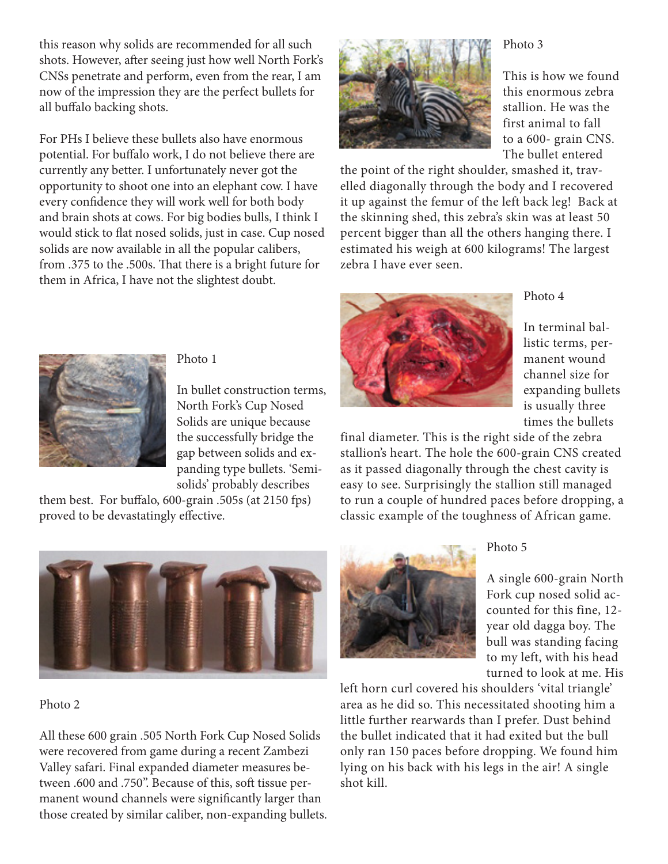this reason why solids are recommended for all such shots. However, after seeing just how well North Fork's CNSs penetrate and perform, even from the rear, I am now of the impression they are the perfect bullets for all buffalo backing shots.

For PHs I believe these bullets also have enormous potential. For buffalo work, I do not believe there are currently any better. I unfortunately never got the opportunity to shoot one into an elephant cow. I have every confidence they will work well for both body and brain shots at cows. For big bodies bulls, I think I would stick to flat nosed solids, just in case. Cup nosed solids are now available in all the popular calibers, from .375 to the .500s. That there is a bright future for them in Africa, I have not the slightest doubt.



### Photo 3

This is how we found this enormous zebra stallion. He was the first animal to fall to a 600- grain CNS. The bullet entered

the point of the right shoulder, smashed it, travelled diagonally through the body and I recovered it up against the femur of the left back leg! Back at the skinning shed, this zebra's skin was at least 50 percent bigger than all the others hanging there. I estimated his weigh at 600 kilograms! The largest zebra I have ever seen.



Photo 4



final diameter. This is the right side of the zebra stallion's heart. The hole the 600-grain CNS created as it passed diagonally through the chest cavity is easy to see. Surprisingly the stallion still managed to run a couple of hundred paces before dropping, a classic example of the toughness of African game.



Photo 5

A single 600-grain North Fork cup nosed solid accounted for this fine, 12 year old dagga boy. The bull was standing facing to my left, with his head turned to look at me. His

left horn curl covered his shoulders 'vital triangle' area as he did so. This necessitated shooting him a little further rearwards than I prefer. Dust behind the bullet indicated that it had exited but the bull only ran 150 paces before dropping. We found him lying on his back with his legs in the air! A single shot kill.



#### Photo 1

In bullet construction terms, North Fork's Cup Nosed Solids are unique because the successfully bridge the gap between solids and expanding type bullets. 'Semisolids' probably describes

them best. For buffalo, 600-grain .505s (at 2150 fps) proved to be devastatingly effective.



#### Photo 2

All these 600 grain .505 North Fork Cup Nosed Solids were recovered from game during a recent Zambezi Valley safari. Final expanded diameter measures between .600 and .750". Because of this, soft tissue permanent wound channels were significantly larger than those created by similar caliber, non-expanding bullets.